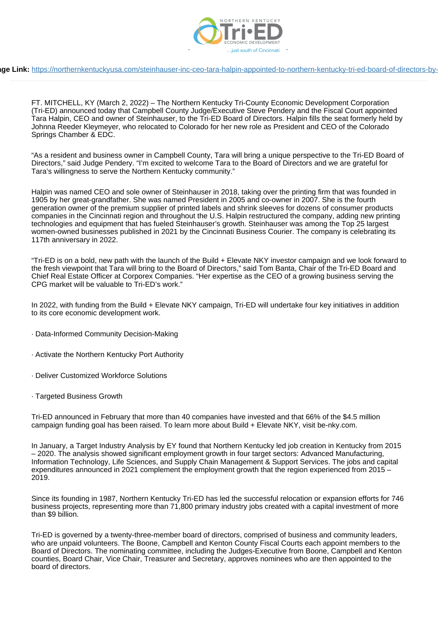

## **pe Link:** https://northernkentuckyusa.com/steinhauser-inc-ceo-tara-halpin-appointed-to-northern-kentucky-tri-ed-board-of-directors-by-

FT. MITCHELL, KY (March 2, 2022) – The Northern Kentucky Tri-County Economic Development Corporation (Tri-ED) announced today that Campbell County Judge/Executive Steve Pendery and the Fiscal Court appointed Tara Halpin, CEO and owner of Steinhauser, to the Tri-ED Board of Directors. Halpin fills the seat formerly held by Johnna Reeder Kleymeyer, who relocated to Colorado for her new role as President and CEO of the Colorado Springs Chamber & EDC.

"As a resident and business owner in Campbell County, Tara will bring a unique perspective to the Tri-ED Board of Directors," said Judge Pendery. "I'm excited to welcome Tara to the Board of Directors and we are grateful for Tara's willingness to serve the Northern Kentucky community."

Halpin was named CEO and sole owner of Steinhauser in 2018, taking over the printing firm that was founded in 1905 by her great-grandfather. She was named President in 2005 and co-owner in 2007. She is the fourth generation owner of the premium supplier of printed labels and shrink sleeves for dozens of consumer products companies in the Cincinnati region and throughout the U.S. Halpin restructured the company, adding new printing technologies and equipment that has fueled Steinhauser's growth. Steinhauser was among the Top 25 largest women-owned businesses published in 2021 by the Cincinnati Business Courier. The company is celebrating its 117th anniversary in 2022.

"Tri-ED is on a bold, new path with the launch of the Build + Elevate NKY investor campaign and we look forward to the fresh viewpoint that Tara will bring to the Board of Directors," said Tom Banta, Chair of the Tri-ED Board and Chief Real Estate Officer at Corporex Companies. "Her expertise as the CEO of a growing business serving the CPG market will be valuable to Tri-ED's work."

In 2022, with funding from the Build + Elevate NKY campaign, Tri-ED will undertake four key initiatives in addition to its core economic development work.

- · Data-Informed Community Decision-Making
- · Activate the Northern Kentucky Port Authority
- · Deliver Customized Workforce Solutions
- · Targeted Business Growth

Tri-ED announced in February that more than 40 companies have invested and that 66% of the \$4.5 million campaign funding goal has been raised. To learn more about Build + Elevate NKY, visit be-nky.com.

In January, a Target Industry Analysis by EY found that Northern Kentucky led job creation in Kentucky from 2015 – 2020. The analysis showed significant employment growth in four target sectors: Advanced Manufacturing, Information Technology, Life Sciences, and Supply Chain Management & Support Services. The jobs and capital expenditures announced in 2021 complement the employment growth that the region experienced from 2015 – 2019.

Since its founding in 1987, Northern Kentucky Tri-ED has led the successful relocation or expansion efforts for 746 business projects, representing more than 71,800 primary industry jobs created with a capital investment of more than \$9 billion.

Tri-ED is governed by a twenty-three-member board of directors, comprised of business and community leaders, who are unpaid volunteers. The Boone, Campbell and Kenton County Fiscal Courts each appoint members to the Board of Directors. The nominating committee, including the Judges-Executive from Boone, Campbell and Kenton counties, Board Chair, Vice Chair, Treasurer and Secretary, approves nominees who are then appointed to the board of directors.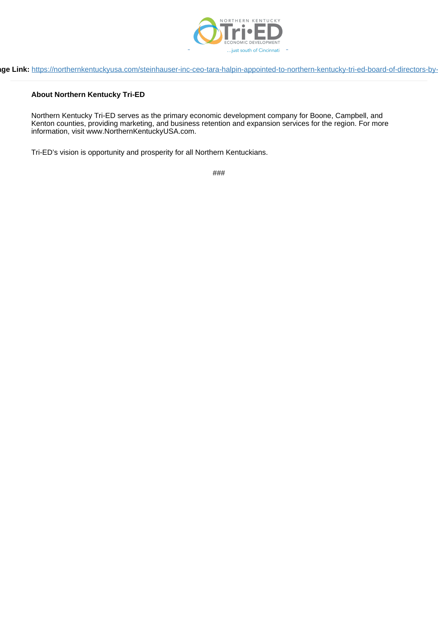

## **page Link:** https://northernkentuckyusa.com/steinhauser-inc-ceo-tara-halpin-appointed-to-northern-kentucky-tri-ed-board-of-directors-by-

## **About Northern Kentucky Tri-ED**

Northern Kentucky Tri-ED serves as the primary economic development company for Boone, Campbell, and Kenton counties, providing marketing, and business retention and expansion services for the region. For more information, visit www.NorthernKentuckyUSA.com.

Tri-ED's vision is opportunity and prosperity for all Northern Kentuckians.

###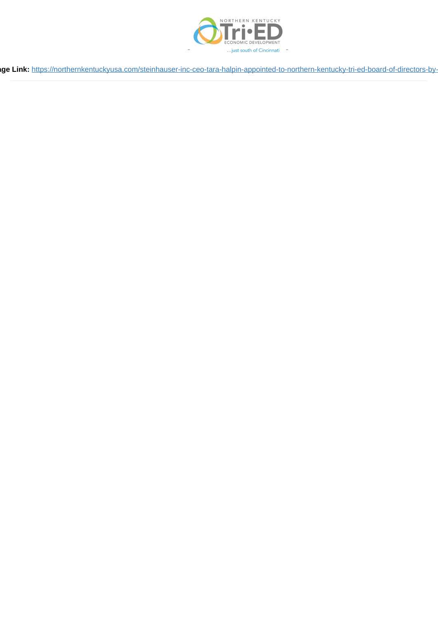

**pe Link:** https://northernkentuckyusa.com/steinhauser-inc-ceo-tara-halpin-appointed-to-northern-kentucky-tri-ed-board-of-directors-by-